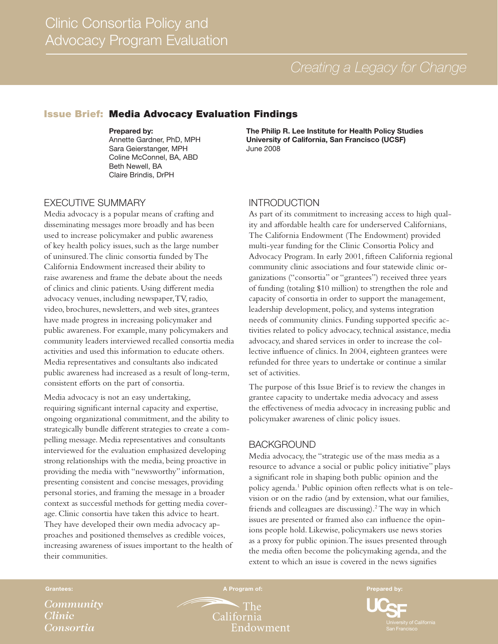## Issue Brief: Media Advocacy Evaluation Findings

#### Prepared by:

Annette Gardner, PhD, MPH Sara Geierstanger, MPH Coline McConnel, BA, ABD Beth Newell, BA Claire Brindis, DrPH

The Philip R. Lee Institute for Health Policy Studies University of California, San Francisco (UCSF) June 2008

## EXECUTIVE SUMMARY

Media advocacy is a popular means of crafting and disseminating messages more broadly and has been used to increase policymaker and public awareness of key health policy issues, such as the large number of uninsured. The clinic consortia funded by The California Endowment increased their ability to raise awareness and frame the debate about the needs of clinics and clinic patients. Using different media advocacy venues, including newspaper, TV, radio, video, brochures, newsletters, and web sites, grantees have made progress in increasing policymaker and public awareness. For example, many policymakers and community leaders interviewed recalled consortia media activities and used this information to educate others. Media representatives and consultants also indicated public awareness had increased as a result of long-term, consistent efforts on the part of consortia.

Media advocacy is not an easy undertaking, requiring significant internal capacity and expertise, ongoing organizational commitment, and the ability to strategically bundle different strategies to create a compelling message. Media representatives and consultants interviewed for the evaluation emphasized developing strong relationships with the media, being proactive in providing the media with "newsworthy" information, presenting consistent and concise messages, providing personal stories, and framing the message in a broader context as successful methods for getting media coverage. Clinic consortia have taken this advice to heart. They have developed their own media advocacy approaches and positioned themselves as credible voices, increasing awareness of issues important to the health of their communities.

## INTRODUCTION

As part of its commitment to increasing access to high quality and affordable health care for underserved Californians, The California Endowment (The Endowment) provided multi-year funding for the Clinic Consortia Policy and Advocacy Program. In early 2001, fifteen California regional community clinic associations and four statewide clinic organizations ("consortia" or "grantees") received three years of funding (totaling \$10 million) to strengthen the role and capacity of consortia in order to support the management, leadership development, policy, and systems integration needs of community clinics. Funding supported specific activities related to policy advocacy, technical assistance, media advocacy, and shared services in order to increase the collective influence of clinics. In 2004, eighteen grantees were refunded for three years to undertake or continue a similar set of activities.

The purpose of this Issue Brief is to review the changes in grantee capacity to undertake media advocacy and assess the effectiveness of media advocacy in increasing public and policymaker awareness of clinic policy issues.

## **BACKGROUND**

Media advocacy, the "strategic use of the mass media as a resource to advance a social or public policy initiative" plays a significant role in shaping both public opinion and the policy agenda.1 Public opinion often reflects what is on television or on the radio (and by extension, what our families, friends and colleagues are discussing).<sup>2</sup> The way in which issues are presented or framed also can influence the opinions people hold. Likewise, policymakers use news stories as a proxy for public opinion. The issues presented through the media often become the policymaking agenda, and the extent to which an issue is covered in the news signifies

*Community Clinic Consortia*

Grantees: A Program of: Prepared by: Prepared by: Prepared by: Prepared by: Prepared by: Prepared by: Prepared by:

The California Endowment

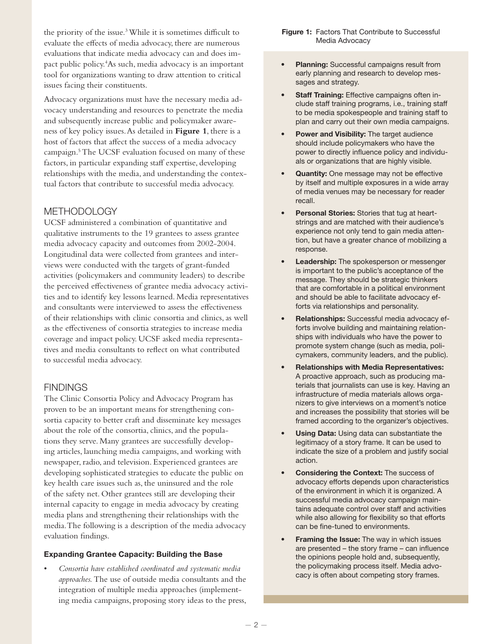the priority of the issue.<sup>3</sup> While it is sometimes difficult to evaluate the effects of media advocacy, there are numerous evaluations that indicate media advocacy can and does impact public policy.4 As such, media advocacy is an important tool for organizations wanting to draw attention to critical issues facing their constituents.

Advocacy organizations must have the necessary media advocacy understanding and resources to penetrate the media and subsequently increase public and policymaker awareness of key policy issues. As detailed in **Figure 1**, there is a host of factors that affect the success of a media advocacy campaign.<sup>5</sup> The UCSF evaluation focused on many of these factors, in particular expanding staff expertise, developing relationships with the media, and understanding the contextual factors that contribute to successful media advocacy.

# **METHODOLOGY**

UCSF administered a combination of quantitative and qualitative instruments to the 19 grantees to assess grantee media advocacy capacity and outcomes from 2002-2004. Longitudinal data were collected from grantees and interviews were conducted with the targets of grant-funded activities (policymakers and community leaders) to describe the perceived effectiveness of grantee media advocacy activities and to identify key lessons learned. Media representatives and consultants were interviewed to assess the effectiveness of their relationships with clinic consortia and clinics, as well as the effectiveness of consortia strategies to increase media coverage and impact policy. UCSF asked media representatives and media consultants to reflect on what contributed to successful media advocacy.

## **FINDINGS**

The Clinic Consortia Policy and Advocacy Program has proven to be an important means for strengthening consortia capacity to better craft and disseminate key messages about the role of the consortia, clinics, and the populations they serve. Many grantees are successfully developing articles, launching media campaigns, and working with newspaper, radio, and television. Experienced grantees are developing sophisticated strategies to educate the public on key health care issues such as, the uninsured and the role of the safety net. Other grantees still are developing their internal capacity to engage in media advocacy by creating media plans and strengthening their relationships with the media. The following is a description of the media advocacy evaluation findings.

#### Expanding Grantee Capacity: Building the Base

• *Consortia have established coordinated and systematic media approaches.* The use of outside media consultants and the integration of multiple media approaches (implementing media campaigns, proposing story ideas to the press,

- Planning: Successful campaigns result from early planning and research to develop messages and strategy.
- Staff Training: Effective campaigns often include staff training programs, i.e., training staff to be media spokespeople and training staff to plan and carry out their own media campaigns.
- Power and Visibility: The target audience should include policymakers who have the power to directly influence policy and individuals or organizations that are highly visible.
- Quantity: One message may not be effective by itself and multiple exposures in a wide array of media venues may be necessary for reader recall.
- Personal Stories: Stories that tug at heartstrings and are matched with their audience's experience not only tend to gain media attention, but have a greater chance of mobilizing a response.
- **Leadership:** The spokesperson or messenger is important to the public's acceptance of the message. They should be strategic thinkers that are comfortable in a political environment and should be able to facilitate advocacy efforts via relationships and personality.
- Relationships: Successful media advocacy efforts involve building and maintaining relationships with individuals who have the power to promote system change (such as media, policymakers, community leaders, and the public).
- Relationships with Media Representatives: A proactive approach, such as producing materials that journalists can use is key. Having an infrastructure of media materials allows organizers to give interviews on a moment's notice and increases the possibility that stories will be framed according to the organizer's objectives.
- Using Data: Using data can substantiate the legitimacy of a story frame. It can be used to indicate the size of a problem and justify social action.
- Considering the Context: The success of advocacy efforts depends upon characteristics of the environment in which it is organized. A successful media advocacy campaign maintains adequate control over staff and activities while also allowing for flexibility so that efforts can be fine-tuned to environments.
- Framing the Issue: The way in which issues are presented – the story frame – can influence the opinions people hold and, subsequently, the policymaking process itself. Media advocacy is often about competing story frames.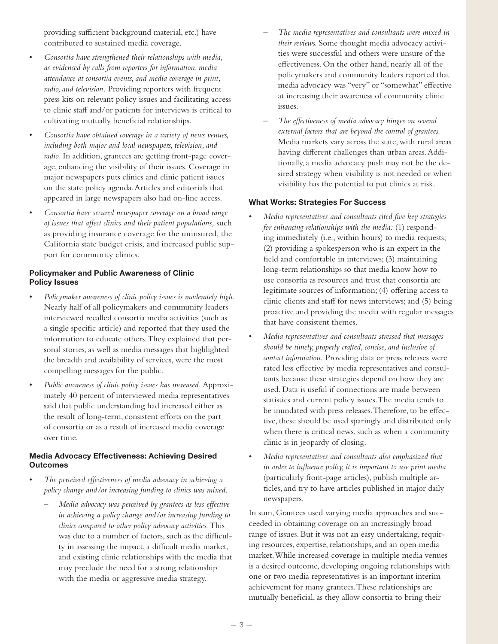providing sufficient background material, etc.) have contributed to sustained media coverage.

- Consortia have strengthened their relationships with media, *as evidenced by calls from reporters for information, media attendance at consortia events, and media coverage in print, radio, and television.* Providing reporters with frequent press kits on relevant policy issues and facilitating access to clinic staff and/or patients for interviews is critical to cultivating mutually beneficial relationships.
- Consortia have obtained coverage in a variety of news venues, *including both major and local newspapers, television, and radio.* In addition, grantees are getting front-page coverage, enhancing the visibility of their issues. Coverage in major newspapers puts clinics and clinic patient issues on the state policy agenda. Articles and editorials that appeared in large newspapers also had on-line access.
- Consortia have secured newspaper coverage on a broad range *of issues that affect clinics and their patient populations,* such as providing insurance coverage for the uninsured, the California state budget crisis, and increased public support for community clinics.

### Policymaker and Public Awareness of Clinic Policy Issues

- Policymaker awareness of clinic policy issues is moderately high. Nearly half of all policymakers and community leaders interviewed recalled consortia media activities (such as a single specific article) and reported that they used the information to educate others. They explained that personal stories, as well as media messages that highlighted the breadth and availability of services, were the most compelling messages for the public.
- Public awareness of clinic policy issues has increased. Approximately 40 percent of interviewed media representatives said that public understanding had increased either as the result of long-term, consistent efforts on the part of consortia or as a result of increased media coverage over time.

### Media Advocacy Effectiveness: Achieving Desired **Outcomes**

- The perceived effectiveness of media advocacy in achieving a *policy change and/or increasing funding to clinics was mixed.* 
	- *Media advocacy was perceived by grantees as less effective in achieving a policy change and/or increasing funding to clinics compared to other policy advocacy activities.* This was due to a number of factors, such as the difficulty in assessing the impact, a difficult media market, and existing clinic relationships with the media that may preclude the need for a strong relationship with the media or aggressive media strategy.
- *The media representatives and consultants were mixed in their reviews.* Some thought media advocacy activities were successful and others were unsure of the effectiveness. On the other hand, nearly all of the policymakers and community leaders reported that media advocacy was "very" or "somewhat" effective at increasing their awareness of community clinic issues.
- *The effectiveness of media advocacy hinges on several external factors that are beyond the control of grantees.*  Media markets vary across the state, with rural areas having different challenges than urban areas. Additionally, a media advocacy push may not be the desired strategy when visibility is not needed or when visibility has the potential to put clinics at risk.

#### What Works: Strategies For Success

- *Media representatives and consultants cited five key strategies for enhancing relationships with the media:* (1) responding immediately (i.e., within hours) to media requests; (2) providing a spokesperson who is an expert in the field and comfortable in interviews; (3) maintaining long-term relationships so that media know how to use consortia as resources and trust that consortia are legitimate sources of information; (4) offering access to clinic clients and staff for news interviews; and (5) being proactive and providing the media with regular messages that have consistent themes.
- $Media$  representatives and consultants stressed that messages *should be timely, properly crafted, concise, and inclusive of contact information.* Providing data or press releases were rated less effective by media representatives and consultants because these strategies depend on how they are used. Data is useful if connections are made between statistics and current policy issues. The media tends to be inundated with press releases. Therefore, to be effective, these should be used sparingly and distributed only when there is critical news, such as when a community clinic is in jeopardy of closing.
- • *Media representatives and consultants also emphasized that in order to influence policy, it is important to use print media*  (particularly front-page articles), publish multiple articles, and try to have articles published in major daily newspapers.

In sum, Grantees used varying media approaches and succeeded in obtaining coverage on an increasingly broad range of issues. But it was not an easy undertaking, requiring resources, expertise, relationships, and an open media market. While increased coverage in multiple media venues is a desired outcome, developing ongoing relationships with one or two media representatives is an important interim achievement for many grantees. These relationships are mutually beneficial, as they allow consortia to bring their